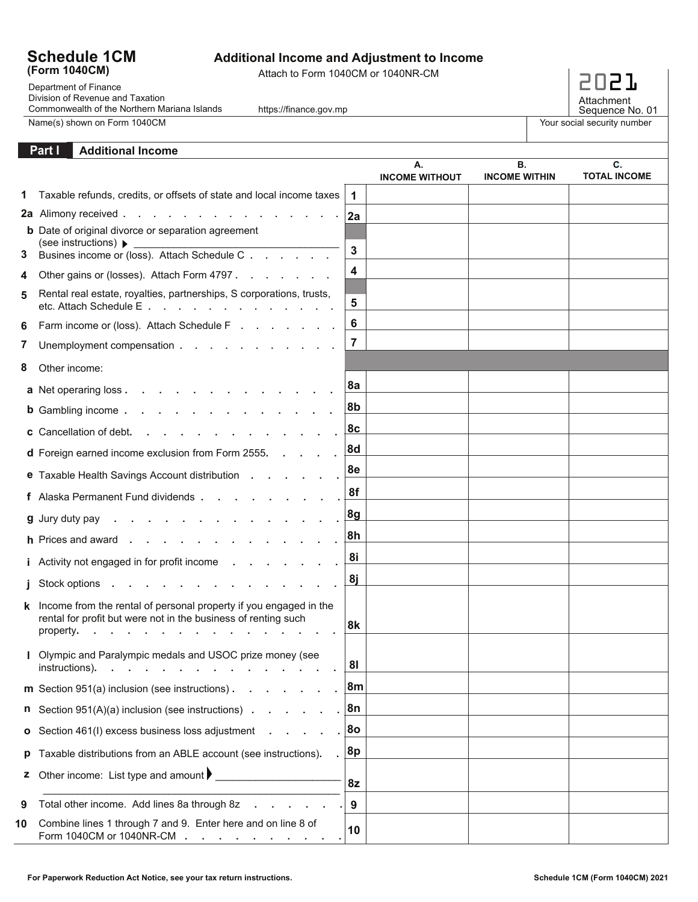## **Schedule 1CM (Form 1040CM)**

## **Additional Income and Adjustment to Income**

Attach to Form 1040CM or 1040NR-CM

Name(s) shown on Form 1040CM Department of Finance Division of Revenue and Taxation Commonwealth of the Northern Mariana Islands

https://finance.gov.mp



Your social security number

## **Additional Income Part I**

|    |                                                                                                                                                  |                | А.<br><b>INCOME WITHOUT</b> | В.<br><b>INCOME WITHIN</b> | G.<br><b>TOTAL INCOME</b> |
|----|--------------------------------------------------------------------------------------------------------------------------------------------------|----------------|-----------------------------|----------------------------|---------------------------|
|    | Taxable refunds, credits, or offsets of state and local income taxes                                                                             | $\mathbf 1$    |                             |                            |                           |
|    | 2a Alimony received                                                                                                                              | 2al            |                             |                            |                           |
|    | <b>b</b> Date of original divorce or separation agreement                                                                                        |                |                             |                            |                           |
| 3  | (see instructions) ▶<br>Busines income or (loss). Attach Schedule C                                                                              | 3              |                             |                            |                           |
|    | Other gains or (losses). Attach Form 4797.                                                                                                       | 4              |                             |                            |                           |
| 5  | Rental real estate, royalties, partnerships, S corporations, trusts,<br>etc. Attach Schedule E                                                   | 5              |                             |                            |                           |
| 6  | Farm income or (loss). Attach Schedule F                                                                                                         | 6              |                             |                            |                           |
| 7  | Unemployment compensation                                                                                                                        | $\overline{7}$ |                             |                            |                           |
| 8  | Other income:                                                                                                                                    |                |                             |                            |                           |
|    | a Net operaring loss                                                                                                                             | 8a             |                             |                            |                           |
|    | b Gambling income.                                                                                                                               | 8b             |                             |                            |                           |
|    | and a straightful contract and a straight<br>c Cancellation of debt.                                                                             | 8c             |                             |                            |                           |
|    | <b>d</b> Foreign earned income exclusion from Form 2555.                                                                                         | 8d             |                             |                            |                           |
|    | e Taxable Health Savings Account distribution                                                                                                    | 8e             |                             |                            |                           |
|    | f Alaska Permanent Fund dividends                                                                                                                | 8f             |                             |                            |                           |
|    | and a series of the company of the<br><b>g</b> Jury duty pay .                                                                                   | 8g             |                             |                            |                           |
|    | h Prices and award                                                                                                                               | 8h             |                             |                            |                           |
|    | <i>i</i> Activity not engaged in for profit income                                                                                               | 8i             |                             |                            |                           |
|    | Stock options                                                                                                                                    | <u>8j</u>      |                             |                            |                           |
| k  | Income from the rental of personal property if you engaged in the<br>rental for profit but were not in the business of renting such<br>property. | 8k             |                             |                            |                           |
|    | Olympic and Paralympic medals and USOC prize money (see<br>instructions).                                                                        | 81             |                             |                            |                           |
|    | m Section 951(a) inclusion (see instructions).                                                                                                   | ∣8m            |                             |                            |                           |
| n  | Section 951(A)(a) inclusion (see instructions)                                                                                                   | ∣8n            |                             |                            |                           |
| o  | Section 461(I) excess business loss adjustment                                                                                                   | 8o             |                             |                            |                           |
| p  | Taxable distributions from an ABLE account (see instructions).                                                                                   | 8p             |                             |                            |                           |
| z  | Other income: List type and amount $\blacktriangleright$                                                                                         | 8z             |                             |                            |                           |
| 9  | Total other income. Add lines 8a through 8z                                                                                                      | 9              |                             |                            |                           |
| 10 | Combine lines 1 through 7 and 9. Enter here and on line 8 of<br>Form 1040CM or 1040NR-CM                                                         | 10             |                             |                            |                           |